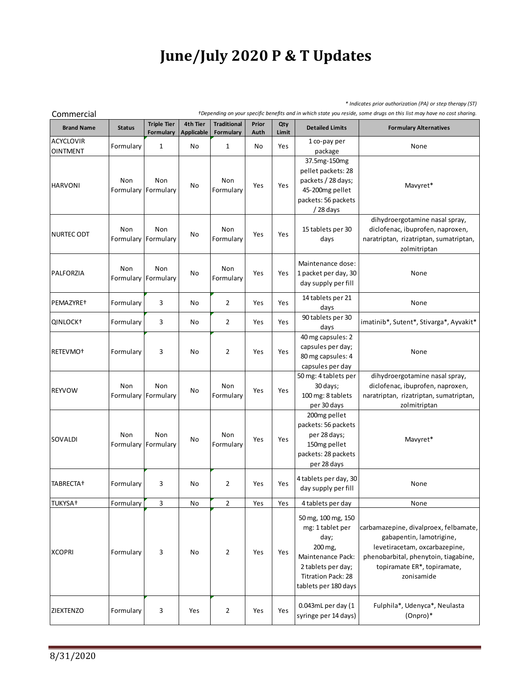## **June/July 2020 P & T Updates**

| Commercial                          | * Indicates prior authorization (PA) or step therapy (ST)<br>+Depending on your specific benefits and in which state you reside, some drugs on this list may have no cost sharing. |                                 |                               |                                 |               |              |                                                                                                                                                           |                                                                                                                                                                                         |  |
|-------------------------------------|------------------------------------------------------------------------------------------------------------------------------------------------------------------------------------|---------------------------------|-------------------------------|---------------------------------|---------------|--------------|-----------------------------------------------------------------------------------------------------------------------------------------------------------|-----------------------------------------------------------------------------------------------------------------------------------------------------------------------------------------|--|
| <b>Brand Name</b>                   | <b>Status</b>                                                                                                                                                                      | <b>Triple Tier</b><br>Formulary | 4th Tier<br><b>Applicable</b> | <b>Traditional</b><br>Formulary | Prior<br>Auth | Qty<br>Limit | <b>Detailed Limits</b>                                                                                                                                    | <b>Formulary Alternatives</b>                                                                                                                                                           |  |
| <b>ACYCLOVIR</b><br><b>OINTMENT</b> | Formulary                                                                                                                                                                          | $\mathbf 1$                     | No                            | 1                               | No            | Yes          | 1 co-pay per<br>package                                                                                                                                   | None                                                                                                                                                                                    |  |
| <b>HARVONI</b>                      | Non<br>Formulary                                                                                                                                                                   | Non<br>Formulary                | No                            | Non<br>Formulary                | Yes           | Yes          | 37.5mg-150mg<br>pellet packets: 28<br>packets / 28 days;<br>45-200mg pellet<br>packets: 56 packets<br>/28 days                                            | Mavyret*                                                                                                                                                                                |  |
| <b>NURTEC ODT</b>                   | Non                                                                                                                                                                                | Non<br>Formulary Formulary      | No                            | Non<br>Formulary                | Yes           | Yes          | 15 tablets per 30<br>days                                                                                                                                 | dihydroergotamine nasal spray,<br>diclofenac, ibuprofen, naproxen,<br>naratriptan, rizatriptan, sumatriptan,<br>zolmitriptan                                                            |  |
| PALFORZIA                           | Non<br>Formulary                                                                                                                                                                   | Non<br>Formulary                | No                            | Non<br>Formulary                | Yes           | Yes          | Maintenance dose:<br>1 packet per day, 30<br>day supply per fill                                                                                          | None                                                                                                                                                                                    |  |
| PEMAZYRE <sup>+</sup>               | Formulary                                                                                                                                                                          | 3                               | No                            | 2                               | Yes           | Yes          | 14 tablets per 21<br>days                                                                                                                                 | None                                                                                                                                                                                    |  |
| QINLOCK <sup>+</sup>                | Formulary                                                                                                                                                                          | 3                               | No                            | $\overline{2}$                  | Yes           | Yes          | 90 tablets per 30<br>days                                                                                                                                 | imatinib*, Sutent*, Stivarga*, Ayvakit*                                                                                                                                                 |  |
| RETEVMO <sup>+</sup>                | Formulary                                                                                                                                                                          | 3                               | No                            | 2                               | Yes           | Yes          | 40 mg capsules: 2<br>capsules per day;<br>80 mg capsules: 4<br>capsules per day                                                                           | None                                                                                                                                                                                    |  |
| <b>REYVOW</b>                       | Non<br>Formulary                                                                                                                                                                   | Non<br>Formulary                | No                            | Non<br>Formulary                | Yes           | Yes          | 50 mg: 4 tablets per<br>30 days;<br>100 mg: 8 tablets<br>per 30 days                                                                                      | dihydroergotamine nasal spray,<br>diclofenac, ibuprofen, naproxen,<br>naratriptan, rizatriptan, sumatriptan,<br>zolmitriptan                                                            |  |
| <b>SOVALDI</b>                      | Non<br>Formulary                                                                                                                                                                   | Non<br>Formulary                | No                            | Non<br>Formulary                | Yes           | Yes          | 200mg pellet<br>packets: 56 packets<br>per 28 days;<br>150mg pellet<br>packets: 28 packets<br>per 28 days                                                 | Mavyret*                                                                                                                                                                                |  |
| TABRECTA <sup>+</sup>               | Formulary                                                                                                                                                                          | 3                               | No                            | 2                               | Yes           | Yes          | 4 tablets per day, 30<br>day supply per fill                                                                                                              | None                                                                                                                                                                                    |  |
| TUKYSA†                             | Formulary                                                                                                                                                                          | 3                               | No                            | 2                               | Yes           | Yes          | 4 tablets per day                                                                                                                                         | None                                                                                                                                                                                    |  |
| <b>XCOPRI</b>                       | Formulary                                                                                                                                                                          | 3                               | No                            | $\overline{2}$                  | Yes           | Yes          | 50 mg, 100 mg, 150<br>mg: 1 tablet per<br>day;<br>200 mg,<br>Maintenance Pack:<br>2 tablets per day;<br><b>Titration Pack: 28</b><br>tablets per 180 days | carbamazepine, divalproex, felbamate,<br>gabapentin, lamotrigine,<br>levetiracetam, oxcarbazepine,<br>phenobarbital, phenytoin, tiagabine,<br>topiramate ER*, topiramate,<br>zonisamide |  |
| <b>ZIEXTENZO</b>                    | Formulary                                                                                                                                                                          | 3                               | Yes                           | 2                               | Yes           | Yes          | 0.043mL per day (1<br>syringe per 14 days)                                                                                                                | Fulphila*, Udenyca*, Neulasta<br>(Onpro)*                                                                                                                                               |  |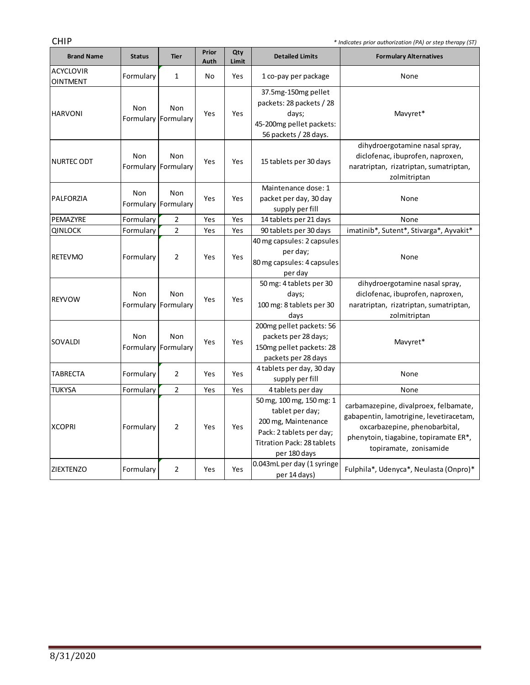and the control of the control of

| <b>CHIP</b><br>* Indicates prior authorization (PA) or step therapy (ST) |               |                                   |               |              |                                                                                                                                              |                                                                                                                                                                                      |  |  |  |
|--------------------------------------------------------------------------|---------------|-----------------------------------|---------------|--------------|----------------------------------------------------------------------------------------------------------------------------------------------|--------------------------------------------------------------------------------------------------------------------------------------------------------------------------------------|--|--|--|
| <b>Brand Name</b>                                                        | <b>Status</b> | <b>Tier</b>                       | Prior<br>Auth | Qty<br>Limit | <b>Detailed Limits</b>                                                                                                                       | <b>Formulary Alternatives</b>                                                                                                                                                        |  |  |  |
| <b>ACYCLOVIR</b><br><b>OINTMENT</b>                                      | Formulary     | $\mathbf{1}$                      | No            | Yes          | 1 co-pay per package                                                                                                                         | None                                                                                                                                                                                 |  |  |  |
| <b>HARVONI</b>                                                           | Non           | Non<br>Formulary Formulary        | Yes           | Yes          | 37.5mg-150mg pellet<br>packets: 28 packets / 28<br>days;<br>45-200mg pellet packets:<br>56 packets / 28 days.                                | Mavyret*                                                                                                                                                                             |  |  |  |
| <b>NURTEC ODT</b>                                                        | Non           | Non<br>Formulary Formulary        | Yes           | Yes          | 15 tablets per 30 days                                                                                                                       | dihydroergotamine nasal spray,<br>diclofenac, ibuprofen, naproxen,<br>naratriptan, rizatriptan, sumatriptan,<br>zolmitriptan                                                         |  |  |  |
| PALFORZIA                                                                | Non           | <b>Non</b><br>Formulary Formulary | Yes           | Yes          | Maintenance dose: 1<br>packet per day, 30 day<br>supply per fill                                                                             | None                                                                                                                                                                                 |  |  |  |
| PEMAZYRE                                                                 | Formulary     | 2                                 | Yes           | Yes          | 14 tablets per 21 days                                                                                                                       | None                                                                                                                                                                                 |  |  |  |
| <b>QINLOCK</b>                                                           | Formulary     | $\overline{2}$                    | Yes           | Yes          | 90 tablets per 30 days                                                                                                                       | imatinib*, Sutent*, Stivarga*, Ayvakit*                                                                                                                                              |  |  |  |
| <b>RETEVMO</b>                                                           | Formulary     | $\overline{2}$                    | Yes           | Yes          | 40 mg capsules: 2 capsules<br>per day;<br>80 mg capsules: 4 capsules<br>per day                                                              | None                                                                                                                                                                                 |  |  |  |
| <b>REYVOW</b>                                                            | Non           | Non<br>Formulary Formulary        | Yes           | Yes          | 50 mg: 4 tablets per 30<br>days;<br>100 mg: 8 tablets per 30<br>days                                                                         | dihydroergotamine nasal spray,<br>diclofenac, ibuprofen, naproxen,<br>naratriptan, rizatriptan, sumatriptan,<br>zolmitriptan                                                         |  |  |  |
| SOVALDI                                                                  | Non           | Non<br>Formulary Formulary        | Yes           | Yes          | 200mg pellet packets: 56<br>packets per 28 days;<br>150mg pellet packets: 28<br>packets per 28 days                                          | Mavyret*                                                                                                                                                                             |  |  |  |
| <b>TABRECTA</b>                                                          | Formulary     | $\overline{2}$                    | Yes           | Yes          | 4 tablets per day, 30 day<br>supply per fill                                                                                                 | None                                                                                                                                                                                 |  |  |  |
| <b>TUKYSA</b>                                                            | Formulary     | $\overline{2}$                    | Yes           | Yes          | 4 tablets per day                                                                                                                            | None                                                                                                                                                                                 |  |  |  |
| <b>XCOPRI</b>                                                            | Formulary     | 2                                 | Yes           | Yes          | 50 mg, 100 mg, 150 mg: 1<br>tablet per day;<br>200 mg, Maintenance<br>Pack: 2 tablets per day;<br>Titration Pack: 28 tablets<br>per 180 days | carbamazepine, divalproex, felbamate,<br>gabapentin, lamotrigine, levetiracetam,<br>oxcarbazepine, phenobarbital,<br>phenytoin, tiagabine, topiramate ER*,<br>topiramate, zonisamide |  |  |  |
| <b>ZIEXTENZO</b>                                                         | Formulary     | $\overline{2}$                    | Yes           | Yes          | 0.043mL per day (1 syringe<br>per 14 days)                                                                                                   | Fulphila*, Udenyca*, Neulasta (Onpro)*                                                                                                                                               |  |  |  |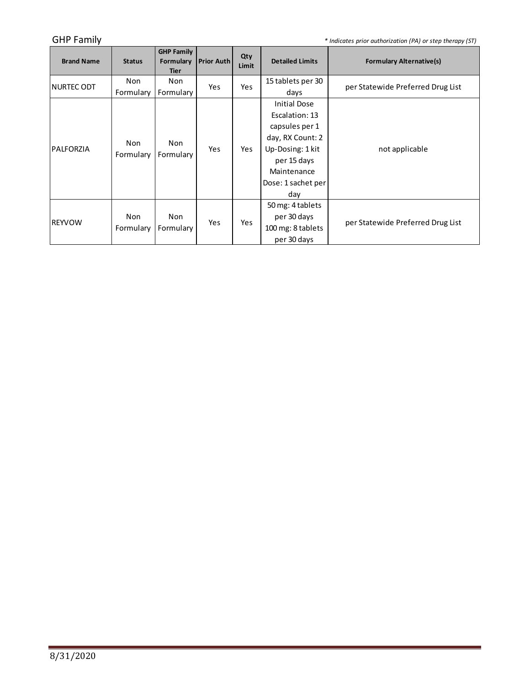GHP Family *GHP Family \* Indicates prior authorization (PA) or step therapy (ST)* 

and the control of the control of the control of

| <b>Brand Name</b> | <b>Status</b>    | <b>GHP Family</b><br>Formulary<br><b>Tier</b> | <b>Prior Auth</b> | Qty<br>Limit | <b>Detailed Limits</b> | <b>Formulary Alternative(s)</b>   |  |
|-------------------|------------------|-----------------------------------------------|-------------------|--------------|------------------------|-----------------------------------|--|
| NURTEC ODT        | Non              | <b>Non</b>                                    | Yes               | <b>Yes</b>   | 15 tablets per 30      | per Statewide Preferred Drug List |  |
|                   | Formulary        | Formulary                                     |                   |              | days                   |                                   |  |
|                   |                  |                                               |                   |              | <b>Initial Dose</b>    |                                   |  |
|                   | Non<br>Formulary | Non<br>Formulary                              | Yes               | Yes          | Escalation: 13         | not applicable                    |  |
|                   |                  |                                               |                   |              | capsules per 1         |                                   |  |
| IPALFORZIA        |                  |                                               |                   |              | day, RX Count: 2       |                                   |  |
|                   |                  |                                               |                   |              | Up-Dosing: 1 kit       |                                   |  |
|                   |                  |                                               |                   |              | per 15 days            |                                   |  |
|                   |                  |                                               |                   |              | Maintenance            |                                   |  |
|                   |                  |                                               |                   |              | Dose: 1 sachet per     |                                   |  |
|                   |                  |                                               |                   |              | day                    |                                   |  |
| <b>IREYVOW</b>    |                  |                                               | Yes               | Yes          | 50 mg: 4 tablets       |                                   |  |
|                   | Non              | Non                                           |                   |              | per 30 days            |                                   |  |
|                   | Formulary        | Formulary                                     |                   |              | 100 mg: 8 tablets      | per Statewide Preferred Drug List |  |
|                   |                  |                                               |                   |              | per 30 days            |                                   |  |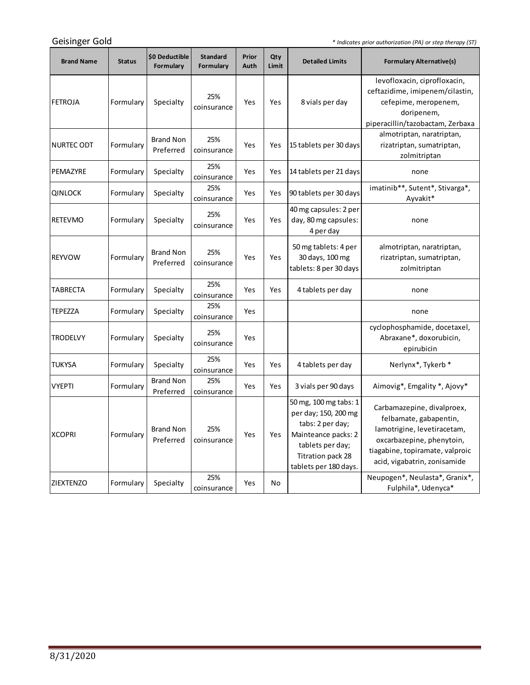Geisinger Gold

*\* Indicates prior authorization (PA) or step therapy (ST)*

m.

| <b>Brand Name</b> | <b>Status</b> | \$0 Deductible<br>Formulary   | <b>Standard</b><br>Formulary | Prior<br>Auth | Qty<br>Limit | <b>Detailed Limits</b>                                                                                                                                     | <b>Formulary Alternative(s)</b>                                                                                                                                                     |
|-------------------|---------------|-------------------------------|------------------------------|---------------|--------------|------------------------------------------------------------------------------------------------------------------------------------------------------------|-------------------------------------------------------------------------------------------------------------------------------------------------------------------------------------|
| <b>FETROJA</b>    | Formulary     | Specialty                     | 25%<br>coinsurance           | Yes           | Yes          | 8 vials per day                                                                                                                                            | levofloxacin, ciprofloxacin,<br>ceftazidime, imipenem/cilastin,<br>cefepime, meropenem,<br>doripenem,<br>piperacillin/tazobactam, Zerbaxa                                           |
| NURTEC ODT        | Formulary     | <b>Brand Non</b><br>Preferred | 25%<br>coinsurance           | Yes           | Yes          | 15 tablets per 30 days                                                                                                                                     | almotriptan, naratriptan,<br>rizatriptan, sumatriptan,<br>zolmitriptan                                                                                                              |
| PEMAZYRE          | Formulary     | Specialty                     | 25%<br>coinsurance           | Yes           | Yes          | 14 tablets per 21 days                                                                                                                                     | none                                                                                                                                                                                |
| <b>QINLOCK</b>    | Formulary     | Specialty                     | 25%<br>coinsurance           | Yes           | Yes          | 90 tablets per 30 days                                                                                                                                     | imatinib**, Sutent*, Stivarga*,<br>Ayvakit*                                                                                                                                         |
| <b>RETEVMO</b>    | Formulary     | Specialty                     | 25%<br>coinsurance           | Yes           | Yes          | 40 mg capsules: 2 per<br>day, 80 mg capsules:<br>4 per day                                                                                                 | none                                                                                                                                                                                |
| <b>REYVOW</b>     | Formulary     | <b>Brand Non</b><br>Preferred | 25%<br>coinsurance           | Yes           | Yes          | 50 mg tablets: 4 per<br>30 days, 100 mg<br>tablets: 8 per 30 days                                                                                          | almotriptan, naratriptan,<br>rizatriptan, sumatriptan,<br>zolmitriptan                                                                                                              |
| <b>TABRECTA</b>   | Formulary     | Specialty                     | 25%<br>coinsurance           | Yes           | Yes          | 4 tablets per day                                                                                                                                          | none                                                                                                                                                                                |
| <b>TEPEZZA</b>    | Formulary     | Specialty                     | 25%<br>coinsurance           | Yes           |              |                                                                                                                                                            | none                                                                                                                                                                                |
| <b>TRODELVY</b>   | Formulary     | Specialty                     | 25%<br>coinsurance           | Yes           |              |                                                                                                                                                            | cyclophosphamide, docetaxel,<br>Abraxane*, doxorubicin,<br>epirubicin                                                                                                               |
| <b>TUKYSA</b>     | Formulary     | Specialty                     | 25%<br>coinsurance           | Yes           | Yes          | 4 tablets per day                                                                                                                                          | Nerlynx*, Tykerb *                                                                                                                                                                  |
| <b>VYEPTI</b>     | Formulary     | <b>Brand Non</b><br>Preferred | 25%<br>coinsurance           | Yes           | Yes          | 3 vials per 90 days                                                                                                                                        | Aimovig*, Emgality *, Ajovy*                                                                                                                                                        |
| <b>XCOPRI</b>     | Formulary     | <b>Brand Non</b><br>Preferred | 25%<br>coinsurance           | Yes.          | Yes          | 50 mg, 100 mg tabs: 1<br>per day; 150, 200 mg<br>tabs: 2 per day;<br>Mainteance packs: 2<br>tablets per day;<br>Titration pack 28<br>tablets per 180 days. | Carbamazepine, divalproex,<br>felbamate, gabapentin,<br>lamotrigine, levetiracetam,<br>oxcarbazepine, phenytoin,<br>tiagabine, topiramate, valproic<br>acid, vigabatrin, zonisamide |
| <b>ZIEXTENZO</b>  | Formulary     | Specialty                     | 25%<br>coinsurance           | Yes           | No           |                                                                                                                                                            | Neupogen*, Neulasta*, Granix*,<br>Fulphila*, Udenyca*                                                                                                                               |